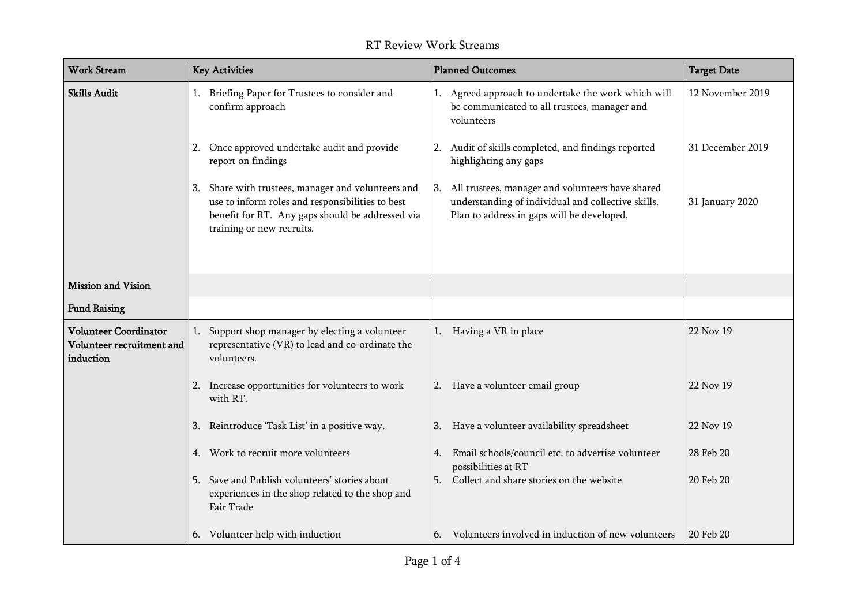| <b>Work Stream</b>                                                     | <b>Key Activities</b>                                                                                                                                                                   | <b>Planned Outcomes</b>                                                                                                                                 | <b>Target Date</b> |
|------------------------------------------------------------------------|-----------------------------------------------------------------------------------------------------------------------------------------------------------------------------------------|---------------------------------------------------------------------------------------------------------------------------------------------------------|--------------------|
| <b>Skills Audit</b>                                                    | 1. Briefing Paper for Trustees to consider and<br>confirm approach                                                                                                                      | 1. Agreed approach to undertake the work which will<br>be communicated to all trustees, manager and<br>volunteers                                       | 12 November 2019   |
|                                                                        | 2. Once approved undertake audit and provide<br>report on findings                                                                                                                      | 2. Audit of skills completed, and findings reported<br>highlighting any gaps                                                                            | 31 December 2019   |
|                                                                        | 3. Share with trustees, manager and volunteers and<br>use to inform roles and responsibilities to best<br>benefit for RT. Any gaps should be addressed via<br>training or new recruits. | 3. All trustees, manager and volunteers have shared<br>understanding of individual and collective skills.<br>Plan to address in gaps will be developed. | 31 January 2020    |
| Mission and Vision                                                     |                                                                                                                                                                                         |                                                                                                                                                         |                    |
| <b>Fund Raising</b>                                                    |                                                                                                                                                                                         |                                                                                                                                                         |                    |
| <b>Volunteer Coordinator</b><br>Volunteer recruitment and<br>induction | 1. Support shop manager by electing a volunteer<br>representative (VR) to lead and co-ordinate the<br>volunteers.                                                                       | 1. Having a VR in place                                                                                                                                 | 22 Nov 19          |
|                                                                        | 2. Increase opportunities for volunteers to work<br>with RT.                                                                                                                            | 2. Have a volunteer email group                                                                                                                         | 22 Nov 19          |
|                                                                        | 3. Reintroduce 'Task List' in a positive way.                                                                                                                                           | 3. Have a volunteer availability spreadsheet                                                                                                            | 22 Nov 19          |
|                                                                        | 4. Work to recruit more volunteers                                                                                                                                                      | Email schools/council etc. to advertise volunteer<br>4.<br>possibilities at RT                                                                          | 28 Feb 20          |
|                                                                        | 5. Save and Publish volunteers' stories about<br>experiences in the shop related to the shop and<br>Fair Trade                                                                          | 5. Collect and share stories on the website                                                                                                             | 20 Feb 20          |
|                                                                        | 6. Volunteer help with induction                                                                                                                                                        | 6. Volunteers involved in induction of new volunteers                                                                                                   | 20 Feb 20          |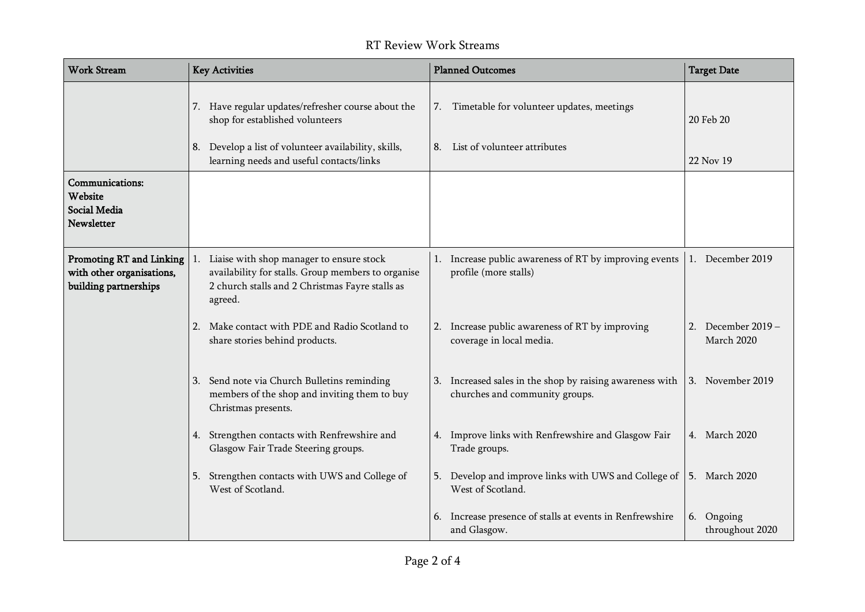| <b>Work Stream</b>                                                                    | <b>Key Activities</b>                                                                                                                                        | <b>Planned Outcomes</b>                                                                    | <b>Target Date</b>                  |
|---------------------------------------------------------------------------------------|--------------------------------------------------------------------------------------------------------------------------------------------------------------|--------------------------------------------------------------------------------------------|-------------------------------------|
|                                                                                       | 7. Have regular updates/refresher course about the<br>shop for established volunteers<br>8. Develop a list of volunteer availability, skills,                | 7. Timetable for volunteer updates, meetings<br>8. List of volunteer attributes            | 20 Feb 20                           |
|                                                                                       | learning needs and useful contacts/links                                                                                                                     |                                                                                            | 22 Nov 19                           |
| Communications:<br>Website<br>Social Media<br><b>Newsletter</b>                       |                                                                                                                                                              |                                                                                            |                                     |
| <b>Promoting RT and Linking</b><br>with other organisations,<br>building partnerships | Liaise with shop manager to ensure stock<br>availability for stalls. Group members to organise<br>2 church stalls and 2 Christmas Fayre stalls as<br>agreed. | Increase public awareness of RT by improving events<br>profile (more stalls)               | 1. December 2019                    |
|                                                                                       | Make contact with PDE and Radio Scotland to<br>2.<br>share stories behind products.                                                                          | Increase public awareness of RT by improving<br>2.<br>coverage in local media.             | December 2019 –<br>2.<br>March 2020 |
|                                                                                       | 3. Send note via Church Bulletins reminding<br>members of the shop and inviting them to buy<br>Christmas presents.                                           | 3. Increased sales in the shop by raising awareness with<br>churches and community groups. | 3. November 2019                    |
|                                                                                       | 4. Strengthen contacts with Renfrewshire and<br>Glasgow Fair Trade Steering groups.                                                                          | 4. Improve links with Renfrewshire and Glasgow Fair<br>Trade groups.                       | 4. March 2020                       |
|                                                                                       | Strengthen contacts with UWS and College of<br>5.<br>West of Scotland.                                                                                       | Develop and improve links with UWS and College of<br>5.<br>West of Scotland.               | 5. March 2020                       |
|                                                                                       |                                                                                                                                                              | Increase presence of stalls at events in Renfrewshire<br>and Glasgow.                      | 6. Ongoing<br>throughout 2020       |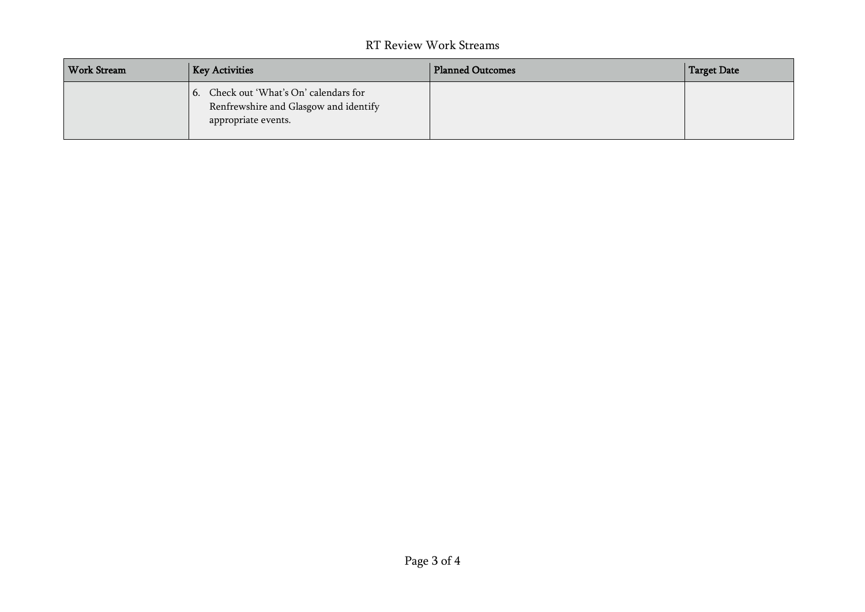| Work Stream | <b>Key Activities</b>                                                                                  | <b>Planned Outcomes</b> | Target Date |
|-------------|--------------------------------------------------------------------------------------------------------|-------------------------|-------------|
|             | 6. Check out 'What's On' calendars for<br>Renfrewshire and Glasgow and identify<br>appropriate events. |                         |             |